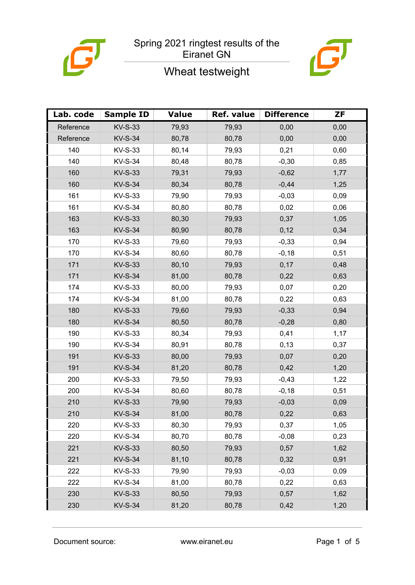



# Wheat testweight

| Lab. code | <b>Sample ID</b> | <b>Value</b> | Ref. value | <b>Difference</b> | <b>ZF</b> |
|-----------|------------------|--------------|------------|-------------------|-----------|
| Reference | <b>KV-S-33</b>   | 79,93        | 79,93      | 0,00              | 0,00      |
| Reference | <b>KV-S-34</b>   | 80,78        | 80,78      | 0,00              | 0,00      |
| 140       | <b>KV-S-33</b>   | 80,14        | 79,93      | 0,21              | 0,60      |
| 140       | <b>KV-S-34</b>   | 80,48        | 80,78      | $-0,30$           | 0,85      |
| 160       | <b>KV-S-33</b>   | 79,31        | 79,93      | $-0,62$           | 1,77      |
| 160       | <b>KV-S-34</b>   | 80,34        | 80,78      | $-0,44$           | 1,25      |
| 161       | <b>KV-S-33</b>   | 79,90        | 79,93      | $-0,03$           | 0,09      |
| 161       | <b>KV-S-34</b>   | 80,80        | 80,78      | 0,02              | 0,06      |
| 163       | <b>KV-S-33</b>   | 80,30        | 79,93      | 0,37              | 1,05      |
| 163       | <b>KV-S-34</b>   | 80,90        | 80,78      | 0,12              | 0,34      |
| 170       | <b>KV-S-33</b>   | 79,60        | 79,93      | $-0,33$           | 0,94      |
| 170       | <b>KV-S-34</b>   | 80,60        | 80,78      | $-0,18$           | 0,51      |
| 171       | <b>KV-S-33</b>   | 80,10        | 79,93      | 0,17              | 0,48      |
| 171       | <b>KV-S-34</b>   | 81,00        | 80,78      | 0,22              | 0,63      |
| 174       | <b>KV-S-33</b>   | 80,00        | 79,93      | 0,07              | 0,20      |
| 174       | <b>KV-S-34</b>   | 81,00        | 80,78      | 0,22              | 0,63      |
| 180       | <b>KV-S-33</b>   | 79,60        | 79,93      | $-0,33$           | 0,94      |
| 180       | <b>KV-S-34</b>   | 80,50        | 80,78      | $-0,28$           | 0,80      |
| 190       | <b>KV-S-33</b>   | 80,34        | 79,93      | 0,41              | 1,17      |
| 190       | <b>KV-S-34</b>   | 80,91        | 80,78      | 0,13              | 0,37      |
| 191       | <b>KV-S-33</b>   | 80,00        | 79,93      | 0,07              | 0,20      |
| 191       | <b>KV-S-34</b>   | 81,20        | 80,78      | 0,42              | 1,20      |
| 200       | <b>KV-S-33</b>   | 79,50        | 79,93      | $-0,43$           | 1,22      |
| 200       | <b>KV-S-34</b>   | 80,60        | 80,78      | $-0,18$           | 0,51      |
| 210       | <b>KV-S-33</b>   | 79,90        | 79,93      | $-0,03$           | 0,09      |
| 210       | <b>KV-S-34</b>   | 81,00        | 80,78      | 0,22              | 0,63      |
| 220       | <b>KV-S-33</b>   | 80,30        | 79,93      | 0,37              | 1,05      |
| 220       | <b>KV-S-34</b>   | 80,70        | 80,78      | $-0,08$           | 0,23      |
| 221       | <b>KV-S-33</b>   | 80,50        | 79,93      | 0,57              | 1,62      |
| 221       | <b>KV-S-34</b>   | 81,10        | 80,78      | 0,32              | 0,91      |
| 222       | <b>KV-S-33</b>   | 79,90        | 79,93      | $-0,03$           | 0,09      |
| 222       | <b>KV-S-34</b>   | 81,00        | 80,78      | 0,22              | 0,63      |
| 230       | <b>KV-S-33</b>   | 80,50        | 79,93      | 0,57              | 1,62      |
| 230       | <b>KV-S-34</b>   | 81,20        | 80,78      | 0,42              | 1,20      |

Document source: www.eiranet.eu Page 1 of 5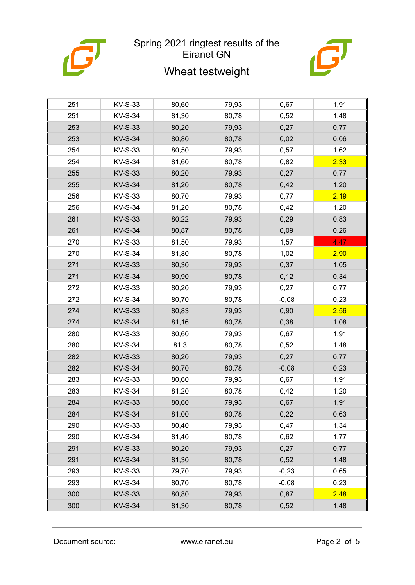

# Wheat testweight



| 251 | <b>KV-S-33</b> | 80,60 | 79,93 | 0,67    | 1,91 |
|-----|----------------|-------|-------|---------|------|
| 251 | <b>KV-S-34</b> | 81,30 | 80,78 | 0,52    | 1,48 |
| 253 | <b>KV-S-33</b> | 80,20 | 79,93 | 0,27    | 0,77 |
| 253 | <b>KV-S-34</b> | 80,80 | 80,78 | 0,02    | 0,06 |
| 254 | <b>KV-S-33</b> | 80,50 | 79,93 | 0,57    | 1,62 |
| 254 | <b>KV-S-34</b> | 81,60 | 80,78 | 0,82    | 2,33 |
| 255 | <b>KV-S-33</b> | 80,20 | 79,93 | 0,27    | 0,77 |
| 255 | <b>KV-S-34</b> | 81,20 | 80,78 | 0,42    | 1,20 |
| 256 | <b>KV-S-33</b> | 80,70 | 79,93 | 0,77    | 2,19 |
| 256 | <b>KV-S-34</b> | 81,20 | 80,78 | 0,42    | 1,20 |
| 261 | <b>KV-S-33</b> | 80,22 | 79,93 | 0,29    | 0,83 |
| 261 | <b>KV-S-34</b> | 80,87 | 80,78 | 0,09    | 0,26 |
| 270 | <b>KV-S-33</b> | 81,50 | 79,93 | 1,57    | 4,47 |
| 270 | <b>KV-S-34</b> | 81,80 | 80,78 | 1,02    | 2,90 |
| 271 | <b>KV-S-33</b> | 80,30 | 79,93 | 0,37    | 1,05 |
| 271 | <b>KV-S-34</b> | 80,90 | 80,78 | 0,12    | 0,34 |
| 272 | <b>KV-S-33</b> | 80,20 | 79,93 | 0,27    | 0,77 |
| 272 | <b>KV-S-34</b> | 80,70 | 80,78 | $-0,08$ | 0,23 |
| 274 | <b>KV-S-33</b> | 80,83 | 79,93 | 0,90    | 2,56 |
| 274 | <b>KV-S-34</b> | 81,16 | 80,78 | 0,38    | 1,08 |
| 280 | <b>KV-S-33</b> | 80,60 | 79,93 | 0,67    | 1,91 |
| 280 | <b>KV-S-34</b> | 81,3  | 80,78 | 0,52    | 1,48 |
| 282 | <b>KV-S-33</b> | 80,20 | 79,93 | 0,27    | 0,77 |
| 282 | <b>KV-S-34</b> | 80,70 | 80,78 | $-0,08$ | 0,23 |
| 283 | KV-S-33        | 80,60 | 79,93 | 0,67    | 1,91 |
| 283 | <b>KV-S-34</b> | 81,20 | 80,78 | 0,42    | 1,20 |
| 284 | <b>KV-S-33</b> | 80,60 | 79,93 | 0,67    | 1,91 |
| 284 | <b>KV-S-34</b> | 81,00 | 80,78 | 0,22    | 0,63 |
| 290 | <b>KV-S-33</b> | 80,40 | 79,93 | 0,47    | 1,34 |
| 290 | <b>KV-S-34</b> | 81,40 | 80,78 | 0,62    | 1,77 |
| 291 | <b>KV-S-33</b> | 80,20 | 79,93 | 0,27    | 0,77 |
| 291 | <b>KV-S-34</b> | 81,30 | 80,78 | 0,52    | 1,48 |
| 293 | KV-S-33        | 79,70 | 79,93 | $-0,23$ | 0,65 |
| 293 | <b>KV-S-34</b> | 80,70 | 80,78 | $-0,08$ | 0,23 |
| 300 | <b>KV-S-33</b> | 80,80 | 79,93 | 0,87    | 2,48 |
| 300 | <b>KV-S-34</b> | 81,30 | 80,78 | 0,52    | 1,48 |
|     |                |       |       |         |      |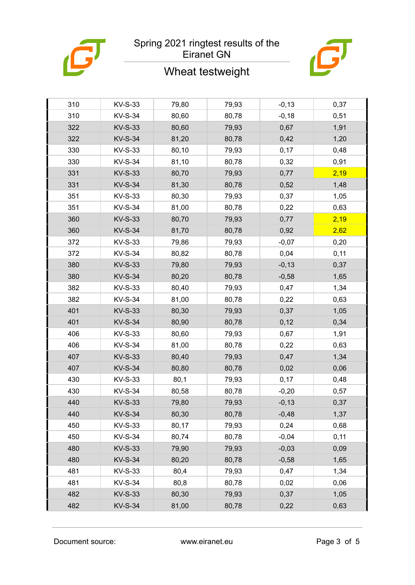

# Wheat testweight



| 310 | <b>KV-S-33</b> | 79,80 | 79,93 | $-0,13$ | 0,37 |
|-----|----------------|-------|-------|---------|------|
| 310 | <b>KV-S-34</b> | 80,60 | 80,78 | $-0,18$ | 0,51 |
| 322 | <b>KV-S-33</b> | 80,60 | 79,93 | 0,67    | 1,91 |
| 322 | <b>KV-S-34</b> | 81,20 | 80,78 | 0,42    | 1,20 |
| 330 | <b>KV-S-33</b> | 80,10 | 79,93 | 0,17    | 0,48 |
| 330 | <b>KV-S-34</b> | 81,10 | 80,78 | 0,32    | 0,91 |
| 331 | <b>KV-S-33</b> | 80,70 | 79,93 | 0,77    | 2,19 |
| 331 | <b>KV-S-34</b> | 81,30 | 80,78 | 0,52    | 1,48 |
| 351 | <b>KV-S-33</b> | 80,30 | 79,93 | 0,37    | 1,05 |
| 351 | <b>KV-S-34</b> | 81,00 | 80,78 | 0,22    | 0,63 |
| 360 | <b>KV-S-33</b> | 80,70 | 79,93 | 0,77    | 2,19 |
| 360 | <b>KV-S-34</b> | 81,70 | 80,78 | 0,92    | 2,62 |
| 372 | <b>KV-S-33</b> | 79,86 | 79,93 | $-0,07$ | 0,20 |
| 372 | <b>KV-S-34</b> | 80,82 | 80,78 | 0,04    | 0,11 |
| 380 | <b>KV-S-33</b> | 79,80 | 79,93 | $-0,13$ | 0,37 |
| 380 | <b>KV-S-34</b> | 80,20 | 80,78 | $-0,58$ | 1,65 |
| 382 | <b>KV-S-33</b> | 80,40 | 79,93 | 0,47    | 1,34 |
| 382 | <b>KV-S-34</b> | 81,00 | 80,78 | 0,22    | 0,63 |
| 401 | <b>KV-S-33</b> | 80,30 | 79,93 | 0,37    | 1,05 |
| 401 | <b>KV-S-34</b> | 80,90 | 80,78 | 0,12    | 0,34 |
| 406 | <b>KV-S-33</b> | 80,60 | 79,93 | 0,67    | 1,91 |
| 406 | <b>KV-S-34</b> | 81,00 | 80,78 | 0,22    | 0,63 |
| 407 | <b>KV-S-33</b> | 80,40 | 79,93 | 0,47    | 1,34 |
| 407 | <b>KV-S-34</b> | 80,80 | 80,78 | 0,02    | 0,06 |
| 430 | <b>KV-S-33</b> | 80,1  | 79,93 | 0,17    | 0,48 |
| 430 | <b>KV-S-34</b> | 80,58 | 80,78 | $-0,20$ | 0,57 |
| 440 | <b>KV-S-33</b> | 79,80 | 79,93 | $-0,13$ | 0,37 |
| 440 | <b>KV-S-34</b> | 80,30 | 80,78 | $-0,48$ | 1,37 |
| 450 | <b>KV-S-33</b> | 80,17 | 79,93 | 0,24    | 0,68 |
| 450 | <b>KV-S-34</b> | 80,74 | 80,78 | $-0,04$ | 0,11 |
| 480 | <b>KV-S-33</b> | 79,90 | 79,93 | $-0,03$ | 0,09 |
| 480 | <b>KV-S-34</b> | 80,20 | 80,78 | $-0,58$ | 1,65 |
| 481 | KV-S-33        | 80,4  | 79,93 | 0,47    | 1,34 |
| 481 | <b>KV-S-34</b> | 80,8  | 80,78 | 0,02    | 0,06 |
| 482 | <b>KV-S-33</b> | 80,30 | 79,93 | 0,37    | 1,05 |
| 482 | <b>KV-S-34</b> | 81,00 | 80,78 | 0,22    | 0,63 |

Document source: www.eiranet.eu Page 3 of 5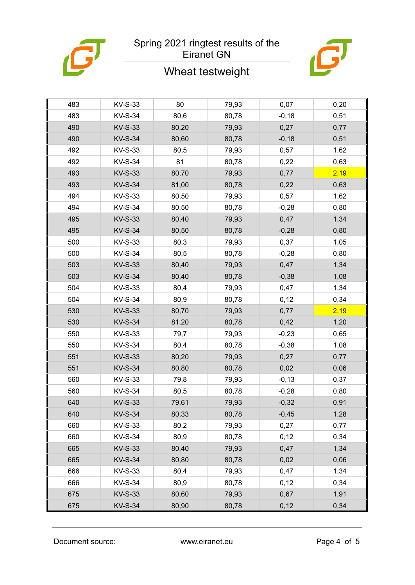

# Wheat testweight



| 483 | <b>KV-S-33</b> | 80    | 79,93 | 0,07     | 0,20 |
|-----|----------------|-------|-------|----------|------|
| 483 | <b>KV-S-34</b> | 80,6  | 80,78 | $-0,18$  | 0,51 |
| 490 | <b>KV-S-33</b> | 80,20 | 79,93 | 0,27     | 0,77 |
| 490 | <b>KV-S-34</b> | 80,60 | 80,78 | $-0,18$  | 0,51 |
| 492 | <b>KV-S-33</b> | 80,5  | 79,93 | 0,57     | 1,62 |
| 492 | <b>KV-S-34</b> | 81    | 80,78 | 0,22     | 0,63 |
| 493 | <b>KV-S-33</b> | 80,70 | 79,93 | 0,77     | 2,19 |
| 493 | <b>KV-S-34</b> | 81,00 | 80,78 | 0,22     | 0,63 |
| 494 | <b>KV-S-33</b> | 80,50 | 79,93 | 0,57     | 1,62 |
| 494 | <b>KV-S-34</b> | 80,50 | 80,78 | $-0,28$  | 0,80 |
| 495 | <b>KV-S-33</b> | 80,40 | 79,93 | 0,47     | 1,34 |
| 495 | <b>KV-S-34</b> | 80,50 | 80,78 | $-0,28$  | 0,80 |
| 500 | <b>KV-S-33</b> | 80,3  | 79,93 | 0,37     | 1,05 |
| 500 | <b>KV-S-34</b> | 80,5  | 80,78 | $-0,28$  | 0,80 |
| 503 | <b>KV-S-33</b> | 80,40 | 79,93 | 0,47     | 1,34 |
| 503 | <b>KV-S-34</b> | 80,40 | 80,78 | $-0,38$  | 1,08 |
| 504 | <b>KV-S-33</b> | 80,4  | 79,93 | 0,47     | 1,34 |
| 504 | <b>KV-S-34</b> | 80,9  | 80,78 | 0,12     | 0,34 |
| 530 | <b>KV-S-33</b> | 80,70 | 79,93 | 0,77     | 2,19 |
| 530 | <b>KV-S-34</b> | 81,20 | 80,78 | 0,42     | 1,20 |
| 550 | <b>KV-S-33</b> | 79,7  | 79,93 | $-0,23$  | 0,65 |
| 550 | <b>KV-S-34</b> | 80,4  | 80,78 | $-0,38$  | 1,08 |
| 551 | <b>KV-S-33</b> | 80,20 | 79,93 | 0,27     | 0,77 |
| 551 | <b>KV-S-34</b> | 80,80 | 80,78 | 0,02     | 0,06 |
| 560 | KV-S-33        | 79,8  | 79,93 | $-0, 13$ | 0,37 |
| 560 | <b>KV-S-34</b> | 80,5  | 80,78 | $-0,28$  | 0,80 |
| 640 | <b>KV-S-33</b> | 79,61 | 79,93 | $-0,32$  | 0,91 |
| 640 | <b>KV-S-34</b> | 80,33 | 80,78 | $-0,45$  | 1,28 |
| 660 | <b>KV-S-33</b> | 80,2  | 79,93 | 0,27     | 0,77 |
| 660 | <b>KV-S-34</b> | 80,9  | 80,78 | 0,12     | 0,34 |
| 665 | <b>KV-S-33</b> | 80,40 | 79,93 | 0,47     | 1,34 |
| 665 | <b>KV-S-34</b> | 80,80 | 80,78 | 0,02     | 0,06 |
| 666 | KV-S-33        | 80,4  | 79,93 | 0,47     | 1,34 |
| 666 | <b>KV-S-34</b> | 80,9  | 80,78 | 0,12     | 0,34 |
| 675 | <b>KV-S-33</b> | 80,60 | 79,93 | 0,67     | 1,91 |
| 675 | <b>KV-S-34</b> | 80,90 | 80,78 | 0,12     | 0,34 |

Document source: www.eiranet.eu Page 4 of 5